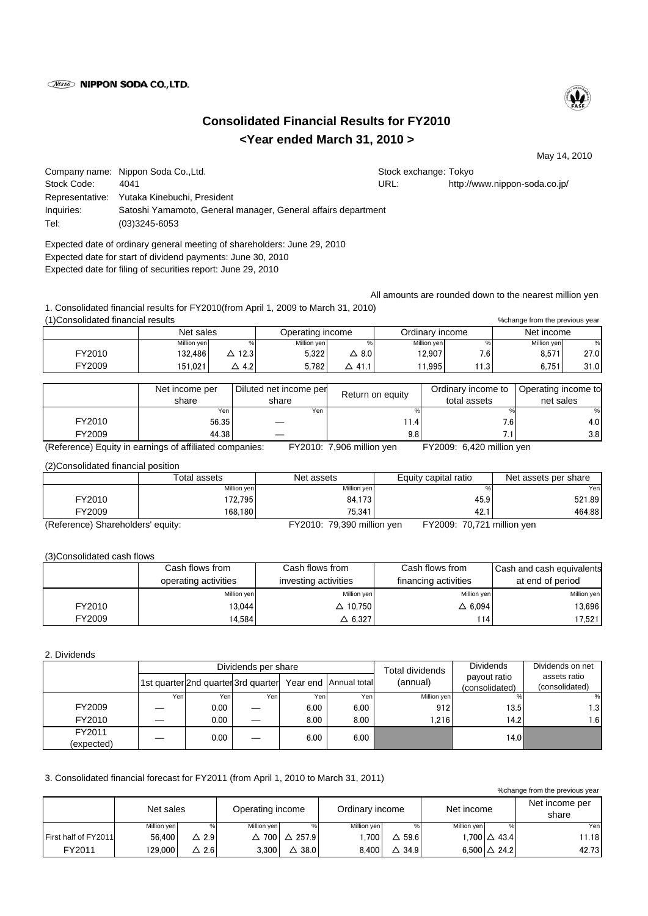## *Nisso* **NIPPON SODA CO., LTD.**



## **Consolidated Financial Results for FY2010 <Year ended March 31, 2010 >**

May 14, 2010

|             | Company name: Nippon Soda Co., Ltd.                           |      | Stock exchange: Tokyo         |
|-------------|---------------------------------------------------------------|------|-------------------------------|
| Stock Code: | 4041                                                          | URL: | http://www.nippon-soda.co.jp/ |
|             | Representative: Yutaka Kinebuchi, President                   |      |                               |
| Inquiries:  | Satoshi Yamamoto, General manager, General affairs department |      |                               |
| Tel:        | $(03)3245 - 6053$                                             |      |                               |

Expected date of ordinary general meeting of shareholders: June 29, 2010 Expected date for start of dividend payments: June 30, 2010 Expected date for filing of securities report: June 29, 2010

All amounts are rounded down to the nearest million yen

1. Consolidated financial results for FY2010(from April 1, 2009 to March 31, 2010) (1)Consolidated financial results

| (1) Consolidated financial results<br>%change from the previous year |             |               |                  |              |                 |       |             |      |
|----------------------------------------------------------------------|-------------|---------------|------------------|--------------|-----------------|-------|-------------|------|
|                                                                      | Net sales   |               | Operating income |              | Ordinary income |       | Net income  |      |
|                                                                      | Million yen |               | Million yen      |              | Million yen     | %     | Million yen | %    |
| FY2010                                                               | 132.486     | $\Delta$ 12.3 | 5.322            | $\Delta$ 8.0 | 12.907          | 7.6   | 8.571       | 27.0 |
| FY2009                                                               | 151.021     | △ 4.2         | 5.782            | △ 41.1       | 1.995           | 11.31 | 6.751       | 31.0 |

|        | Net income per<br>share | Diluted net income per<br>share | Return on equity | Ordinary income to<br>total assets | Operating income to<br>net sales |
|--------|-------------------------|---------------------------------|------------------|------------------------------------|----------------------------------|
|        | Yen,                    | Yen.                            |                  |                                    |                                  |
| FY2010 | 56.35                   |                                 | 1.41             | 7.6                                | 4.OI                             |
| FY2009 | 44.38                   |                                 | 9.8 <sub>1</sub> |                                    | 3.8                              |

(Reference) Equity in earnings of affiliated companies: FY2010: 7,906 million yen FY2009: 6,420 million yen

(2)Consolidated financial position

|                                   | Total assets | Net assets                 | Equity capital ratio       | Net assets per share |
|-----------------------------------|--------------|----------------------------|----------------------------|----------------------|
|                                   | Million yen  | Million yen                |                            | Yenl                 |
| FY2010                            | 72.795       | 84.173                     | 45.9                       | 521.89               |
| FY2009                            | 168.180      | 75.341                     | 42.1                       | 464.88               |
| (Reference) Shareholders' equity: |              | FY2010: 79,390 million yen | FY2009: 70,721 million yen |                      |

(3)Consolidated cash flows

|        | Cash flows from      | Cash flows from      | Cash flows from      | Cash and cash equivalents |
|--------|----------------------|----------------------|----------------------|---------------------------|
|        | operating activities | investing activities | financing activities | at end of period          |
|        | Million yen          | Million yen          | Million yen          | Million yen               |
| FY2010 | 13.044               | $\triangle$ 10.750   | $\triangle$ 6.094    | 13.696                    |
| FY2009 | 14,584               | $\triangle$ 6.327    | 1141                 | 17,521                    |

2. Dividends

|            |      |      | Dividends per share                 | Total dividends | <b>Dividends</b>      | Dividends on net |                |                |
|------------|------|------|-------------------------------------|-----------------|-----------------------|------------------|----------------|----------------|
|            |      |      | 1st quarter 2nd quarter 3rd quarter |                 | Year end Annual total | (annual)         | payout ratio   | assets ratio   |
|            |      |      |                                     |                 |                       |                  | (consolidated) | (consolidated) |
|            | Yenl | Yen  | Yenl                                | Yen             | Yen                   | Million yen      |                | %              |
| FY2009     |      | 0.00 | ÷.                                  | 6.00            | 6.00                  | 912              | 13.5           | ا 3. ا         |
| FY2010     |      | 0.00 |                                     | 8.00            | 8.00                  | .216             | 14.2           | .6             |
| FY2011     |      | 0.00 |                                     | 6.00            | 6.00                  |                  | 14.0           |                |
| (expected) |      |      | —                                   |                 |                       |                  |                |                |

3. Consolidated financial forecast for FY2011 (from April 1, 2010 to March 31, 2011)

%change from the previous year

|                      | Net sales   |     | Operating income |             | Ordinary income |                  | Net income  |                        | Net income per<br>share |
|----------------------|-------------|-----|------------------|-------------|-----------------|------------------|-------------|------------------------|-------------------------|
|                      | Million yen |     | Million yen      | %           | Million yen     |                  | Million yen |                        | Yen                     |
| First half of FY2011 | 56.400      | 2.9 |                  | 700 △ 257.9 | .700            | $\triangle$ 59.6 |             | $1.700 \Delta 43.4$    | 11.18                   |
| FY2011               | 129.000     | 2.6 | 3.300            | 38.0        | 8.400           | $\triangle$ 34.9 |             | 6.500 $\triangle$ 24.2 | 42.73                   |